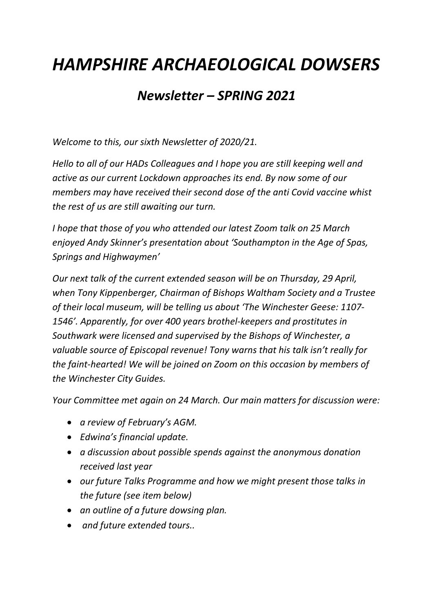## *HAMPSHIRE ARCHAEOLOGICAL DOWSERS*

## *Newsletter – SPRING 2021*

*Welcome to this, our sixth Newsletter of 2020/21.*

*Hello to all of our HADs Colleagues and I hope you are still keeping well and active as our current Lockdown approaches its end. By now some of our members may have received their second dose of the anti Covid vaccine whist the rest of us are still awaiting our turn.*

*I hope that those of you who attended our latest Zoom talk on 25 March enjoyed Andy Skinner's presentation about 'Southampton in the Age of Spas, Springs and Highwaymen'*

*Our next talk of the current extended season will be on Thursday, 29 April, when Tony Kippenberger, Chairman of Bishops Waltham Society and a Trustee of their local museum, will be telling us about 'The Winchester Geese: 1107- 1546'. Apparently, for over 400 years brothel-keepers and prostitutes in Southwark were licensed and supervised by the Bishops of Winchester, a valuable source of Episcopal revenue! Tony warns that his talk isn't really for the faint-hearted! We will be joined on Zoom on this occasion by members of the Winchester City Guides.*

*Your Committee met again on 24 March. Our main matters for discussion were:*

- *a review of February's AGM.*
- *Edwina's financial update.*
- *a discussion about possible spends against the anonymous donation received last year*
- *our future Talks Programme and how we might present those talks in the future (see item below)*
- *an outline of a future dowsing plan.*
- *and future extended tours..*